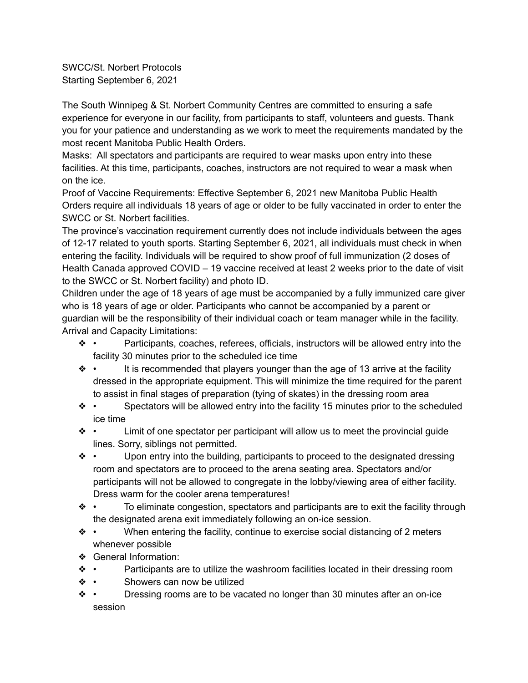SWCC/St. Norbert Protocols Starting September 6, 2021

The South Winnipeg & St. Norbert Community Centres are committed to ensuring a safe experience for everyone in our facility, from participants to staff, volunteers and guests. Thank you for your patience and understanding as we work to meet the requirements mandated by the most recent Manitoba Public Health Orders.

Masks: All spectators and participants are required to wear masks upon entry into these facilities. At this time, participants, coaches, instructors are not required to wear a mask when on the ice.

Proof of Vaccine Requirements: Effective September 6, 2021 new Manitoba Public Health Orders require all individuals 18 years of age or older to be fully vaccinated in order to enter the SWCC or St. Norbert facilities.

The province's vaccination requirement currently does not include individuals between the ages of 12-17 related to youth sports. Starting September 6, 2021, all individuals must check in when entering the facility. Individuals will be required to show proof of full immunization (2 doses of Health Canada approved COVID – 19 vaccine received at least 2 weeks prior to the date of visit to the SWCC or St. Norbert facility) and photo ID.

Children under the age of 18 years of age must be accompanied by a fully immunized care giver who is 18 years of age or older. Participants who cannot be accompanied by a parent or guardian will be the responsibility of their individual coach or team manager while in the facility. Arrival and Capacity Limitations:

- ❖ Participants, coaches, referees, officials, instructors will be allowed entry into the facility 30 minutes prior to the scheduled ice time
- ❖ It is recommended that players younger than the age of 13 arrive at the facility dressed in the appropriate equipment. This will minimize the time required for the parent to assist in final stages of preparation (tying of skates) in the dressing room area
- ❖ Spectators will be allowed entry into the facility 15 minutes prior to the scheduled ice time
- ❖ Limit of one spectator per participant will allow us to meet the provincial guide lines. Sorry, siblings not permitted.
- ❖ Upon entry into the building, participants to proceed to the designated dressing room and spectators are to proceed to the arena seating area. Spectators and/or participants will not be allowed to congregate in the lobby/viewing area of either facility. Dress warm for the cooler arena temperatures!
- ❖ To eliminate congestion, spectators and participants are to exit the facility through the designated arena exit immediately following an on-ice session.
- ❖ When entering the facility, continue to exercise social distancing of 2 meters whenever possible
- ❖ General Information:
- ❖ Participants are to utilize the washroom facilities located in their dressing room
- ❖ Showers can now be utilized
- ❖ Dressing rooms are to be vacated no longer than 30 minutes after an on-ice session